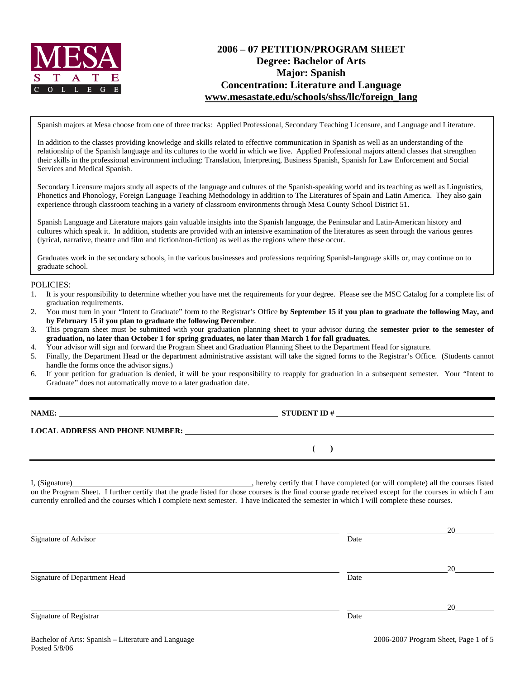

# **2006 – 07 PETITION/PROGRAM SHEET Degree: Bachelor of Arts Major: Spanish Concentration: Literature and Language www.mesastate.edu/schools/shss/llc/foreign\_lang**

Spanish majors at Mesa choose from one of three tracks: Applied Professional, Secondary Teaching Licensure, and Language and Literature.

In addition to the classes providing knowledge and skills related to effective communication in Spanish as well as an understanding of the relationship of the Spanish language and its cultures to the world in which we live. Applied Professional majors attend classes that strengthen their skills in the professional environment including: Translation, Interpreting, Business Spanish, Spanish for Law Enforcement and Social Services and Medical Spanish.

Secondary Licensure majors study all aspects of the language and cultures of the Spanish-speaking world and its teaching as well as Linguistics, Phonetics and Phonology, Foreign Language Teaching Methodology in addition to The Literatures of Spain and Latin America. They also gain experience through classroom teaching in a variety of classroom environments through Mesa County School District 51.

Spanish Language and Literature majors gain valuable insights into the Spanish language, the Peninsular and Latin-American history and cultures which speak it. In addition, students are provided with an intensive examination of the literatures as seen through the various genres (lyrical, narrative, theatre and film and fiction/non-fiction) as well as the regions where these occur.

Graduates work in the secondary schools, in the various businesses and professions requiring Spanish-language skills or, may continue on to graduate school.

#### POLICIES:

- 1. It is your responsibility to determine whether you have met the requirements for your degree. Please see the MSC Catalog for a complete list of graduation requirements.
- 2. You must turn in your "Intent to Graduate" form to the Registrar's Office **by September 15 if you plan to graduate the following May, and by February 15 if you plan to graduate the following December**.
- 3. This program sheet must be submitted with your graduation planning sheet to your advisor during the **semester prior to the semester of graduation, no later than October 1 for spring graduates, no later than March 1 for fall graduates.**
- 4. Your advisor will sign and forward the Program Sheet and Graduation Planning Sheet to the Department Head for signature.
- 5. Finally, the Department Head or the department administrative assistant will take the signed forms to the Registrar's Office. (Students cannot handle the forms once the advisor signs.)
- 6. If your petition for graduation is denied, it will be your responsibility to reapply for graduation in a subsequent semester. Your "Intent to Graduate" does not automatically move to a later graduation date.

| NAME:                                  | <b>STUDENT ID#</b> |  |
|----------------------------------------|--------------------|--|
| <b>LOCAL ADDRESS AND PHONE NUMBER:</b> |                    |  |
|                                        |                    |  |

I, (Signature) , hereby certify that I have completed (or will complete) all the courses listed on the Program Sheet. I further certify that the grade listed for those courses is the final course grade received except for the courses in which I am currently enrolled and the courses which I complete next semester. I have indicated the semester in which I will complete these courses.

|                              |      | 20 |
|------------------------------|------|----|
| Signature of Advisor         | Date |    |
|                              |      |    |
|                              |      | 20 |
| Signature of Department Head | Date |    |
|                              |      |    |
|                              |      |    |
| Signature of Registrar       | Date | 20 |
|                              |      |    |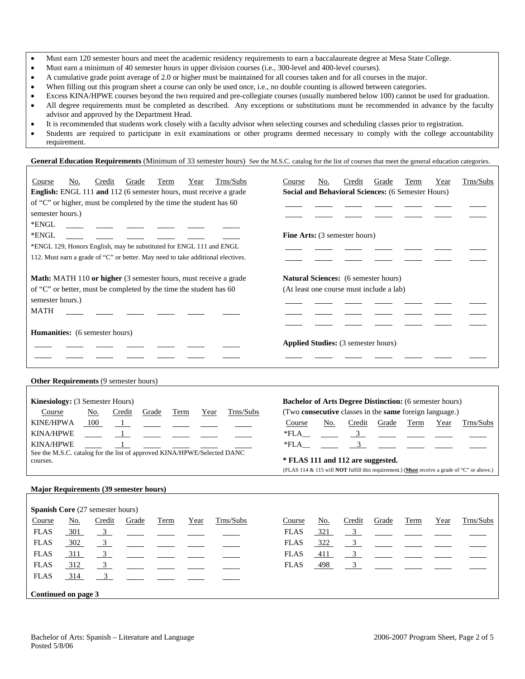- Must earn 120 semester hours and meet the academic residency requirements to earn a baccalaureate degree at Mesa State College.
- Must earn a minimum of 40 semester hours in upper division courses (i.e., 300-level and 400-level courses).
- A cumulative grade point average of 2.0 or higher must be maintained for all courses taken and for all courses in the major.
- When filling out this program sheet a course can only be used once, i.e., no double counting is allowed between categories.
- Excess KINA/HPWE courses beyond the two required and pre-collegiate courses (usually numbered below 100) cannot be used for graduation. • All degree requirements must be completed as described. Any exceptions or substitutions must be recommended in advance by the faculty advisor and approved by the Department Head.
- It is recommended that students work closely with a faculty advisor when selecting courses and scheduling classes prior to registration.
- Students are required to participate in exit examinations or other programs deemed necessary to comply with the college accountability requirement.

General Education Requirements (Minimum of 33 semester hours) See the M.S.C. catalog for the list of courses that meet the general education categories.

| Trns/Subs<br>Credit<br>Course<br>No.<br>Grade<br>Term<br>Year<br>English: ENGL 111 and 112 (6 semester hours, must receive a grade<br>of "C" or higher, must be completed by the time the student has 60<br>semester hours.)<br>*ENGL<br>*ENGL<br>*ENGL 129, Honors English, may be substituted for ENGL 111 and ENGL<br>112. Must earn a grade of "C" or better. May need to take additional electives. | Trns/Subs<br>Credit<br>Course<br>No.<br>Grade<br>Term<br>Year<br>Social and Behavioral Sciences: (6 Semester Hours)<br>Fine Arts: (3 semester hours)                                                                                                                                                                                                                                 |
|----------------------------------------------------------------------------------------------------------------------------------------------------------------------------------------------------------------------------------------------------------------------------------------------------------------------------------------------------------------------------------------------------------|--------------------------------------------------------------------------------------------------------------------------------------------------------------------------------------------------------------------------------------------------------------------------------------------------------------------------------------------------------------------------------------|
| Math: MATH 110 or higher (3 semester hours, must receive a grade<br>of "C" or better, must be completed by the time the student has 60<br>semester hours.)<br><b>MATH</b>                                                                                                                                                                                                                                | Natural Sciences: (6 semester hours)<br>(At least one course must include a lab)                                                                                                                                                                                                                                                                                                     |
| <b>Humanities:</b> (6 semester hours)                                                                                                                                                                                                                                                                                                                                                                    | Applied Studies: (3 semester hours)                                                                                                                                                                                                                                                                                                                                                  |
| Other Requirements (9 semester hours)                                                                                                                                                                                                                                                                                                                                                                    |                                                                                                                                                                                                                                                                                                                                                                                      |
| Kinesiology: (3 Semester Hours)<br>Trns/Subs<br>Term<br>Course<br><u>No.</u><br>Credit<br>Grade<br>Year<br><b>KINE/HPWA</b><br>100<br>$\mathbf{1}$<br>$1\_$<br><b>KINA/HPWE</b><br><b>KINA/HPWE</b><br>1<br>See the M.S.C. catalog for the list of approved KINA/HPWE/Selected DANC<br>courses.                                                                                                          | <b>Bachelor of Arts Degree Distinction:</b> (6 semester hours)<br>(Two consecutive classes in the same foreign language.)<br>Course<br>No.<br>Credit<br>Grade<br>Term<br>Year<br>Trns/Subs<br>$*FLA$<br>3 <sup>7</sup><br>$\mathfrak{Z}$<br>*FLA<br>* FLAS 111 and 112 are suggested.<br>(FLAS 114 & 115 will NOT fulfill this requirement.) (Must receive a grade of "C" or above.) |
| <b>Major Requirements (39 semester hours)</b>                                                                                                                                                                                                                                                                                                                                                            |                                                                                                                                                                                                                                                                                                                                                                                      |
| Spanish Core (27 semester hours)<br>Trns/Subs<br>Course<br><u>No.</u><br>Credit<br>Grade<br>Term<br>Year                                                                                                                                                                                                                                                                                                 | Trns/Subs<br>Course<br><u>No.</u><br>Credit<br>Grade<br>Term<br>Year                                                                                                                                                                                                                                                                                                                 |
| 3 <sup>1</sup><br><b>FLAS</b><br>301<br><b>FLAS</b><br>302<br>$\frac{3}{2}$<br><b>FLAS</b><br>$\frac{3}{2}$<br>311<br><b>FLAS</b><br>312<br>$\frac{3}{2}$<br>3 <sup>7</sup><br><b>FLAS</b><br>314                                                                                                                                                                                                        | 321<br>3 <sup>7</sup><br><b>FLAS</b><br>322<br><b>FLAS</b><br>3<br><b>FLAS</b><br>411<br>$\frac{3}{2}$<br>498<br>3 <sup>7</sup><br><b>FLAS</b>                                                                                                                                                                                                                                       |
| Continued on page 3                                                                                                                                                                                                                                                                                                                                                                                      |                                                                                                                                                                                                                                                                                                                                                                                      |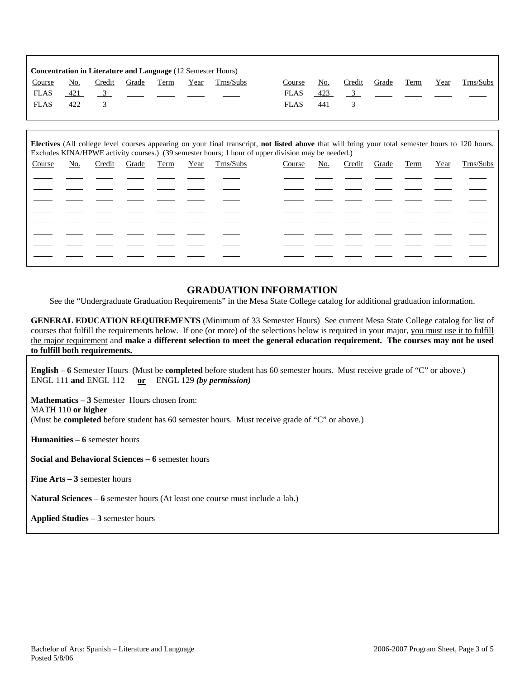|               | <b>Concentration in Literature and Language (12 Semester Hours)</b> |        |       |      |      |           |  |             |            |        |       |      |      |           |
|---------------|---------------------------------------------------------------------|--------|-------|------|------|-----------|--|-------------|------------|--------|-------|------|------|-----------|
| <b>Course</b> | No.                                                                 | Credit | Grade | Term | Year | Trns/Subs |  | Course      | <u>No.</u> | Credit | Grade | Term | Year | Trns/Subs |
| <b>FLAS</b>   | 421                                                                 |        |       |      |      |           |  | <b>FLAS</b> | 423        |        |       |      |      |           |
| <b>FLAS</b>   | 422                                                                 |        |       |      |      |           |  | <b>FLAS</b> | 441        |        |       |      |      |           |
|               |                                                                     |        |       |      |      |           |  |             |            |        |       |      |      |           |

| Electives (All college level courses appearing on your final transcript, not listed above that will bring your total semester hours to 120 hours.<br>Excludes KINA/HPWE activity courses.) (39 semester hours; 1 hour of upper division may be needed.) |     |        |       |      |      |           |        |     |        |       |      |      |           |
|---------------------------------------------------------------------------------------------------------------------------------------------------------------------------------------------------------------------------------------------------------|-----|--------|-------|------|------|-----------|--------|-----|--------|-------|------|------|-----------|
| Course                                                                                                                                                                                                                                                  | No. | Credit | Grade | Term | Year | Trns/Subs | Course | No. | Credit | Grade | Term | Year | Trns/Subs |
|                                                                                                                                                                                                                                                         |     |        |       |      |      |           |        |     |        |       |      |      |           |
|                                                                                                                                                                                                                                                         |     |        |       |      |      |           |        |     |        |       |      |      |           |
|                                                                                                                                                                                                                                                         |     |        |       |      |      |           |        |     |        |       |      |      |           |
|                                                                                                                                                                                                                                                         |     |        |       |      |      |           |        |     |        |       |      |      |           |
|                                                                                                                                                                                                                                                         |     |        |       |      |      |           |        |     |        |       |      |      |           |
|                                                                                                                                                                                                                                                         |     |        |       |      |      |           |        |     |        |       |      |      |           |
|                                                                                                                                                                                                                                                         |     |        |       |      |      |           |        |     |        |       |      |      |           |
|                                                                                                                                                                                                                                                         |     |        |       |      |      |           |        |     |        |       |      |      |           |

#### **GRADUATION INFORMATION**

See the "Undergraduate Graduation Requirements" in the Mesa State College catalog for additional graduation information.

**GENERAL EDUCATION REQUIREMENTS** (Minimum of 33 Semester Hours) See current Mesa State College catalog for list of courses that fulfill the requirements below. If one (or more) of the selections below is required in your major, you must use it to fulfill the major requirement and **make a different selection to meet the general education requirement. The courses may not be used to fulfill both requirements.**

**English – 6** Semester Hours (Must be **completed** before student has 60 semester hours. Must receive grade of "C" or above.) ENGL 111 **and** ENGL 112 **or** ENGL 129 *(by permission)*

**Mathematics – 3** Semester Hours chosen from: MATH 110 **or higher** (Must be **completed** before student has 60 semester hours. Must receive grade of "C" or above.)

**Humanities – 6** semester hours

**Social and Behavioral Sciences – 6** semester hours

**Fine Arts – 3** semester hours

**Natural Sciences – 6** semester hours (At least one course must include a lab.)

**Applied Studies – 3** semester hours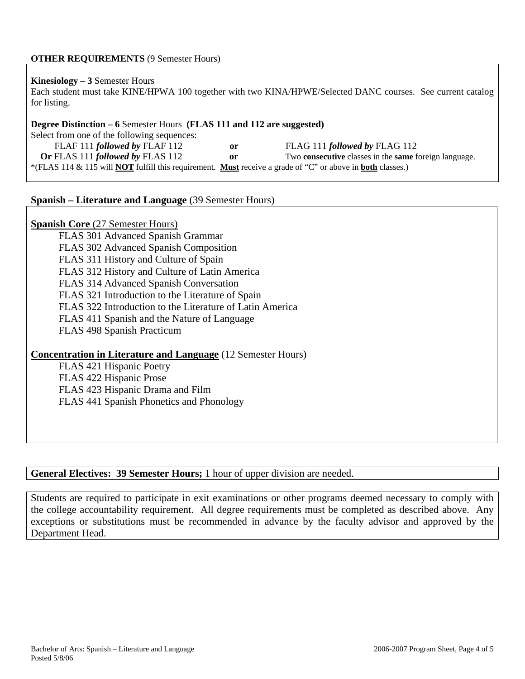# **OTHER REQUIREMENTS** (9 Semester Hours)

#### **Kinesiology – 3** Semester Hours

Each student must take KINE/HPWA 100 together with two KINA/HPWE/Selected DANC courses. See current catalog for listing.

#### **Degree Distinction – 6** Semester Hours **(FLAS 111 and 112 are suggested)**

Select from one of the following sequences: FLAF 111 *followed by* FLAF 112 **or** FLAG 111 *followed by* FLAG 112 **Or** FLAS 111 *followed by* FLAS 112 **or** Two **consecutive** classes in the **same** foreign language. \*(FLAS 114 & 115 will **NOT** fulfill this requirement. **Must** receive a grade of "C" or above in **both** classes.)

# **Spanish – Literature and Language** (39 Semester Hours)

# **Spanish Core** (27 Semester Hours)

FLAS 301 Advanced Spanish Grammar FLAS 302 Advanced Spanish Composition FLAS 311 History and Culture of Spain FLAS 312 History and Culture of Latin America FLAS 314 Advanced Spanish Conversation FLAS 321 Introduction to the Literature of Spain FLAS 322 Introduction to the Literature of Latin America FLAS 411 Spanish and the Nature of Language FLAS 498 Spanish Practicum

## **Concentration in Literature and Language** (12 Semester Hours)

FLAS 421 Hispanic Poetry FLAS 422 Hispanic Prose FLAS 423 Hispanic Drama and Film FLAS 441 Spanish Phonetics and Phonology

## **General Electives: 39 Semester Hours;** 1 hour of upper division are needed.

Students are required to participate in exit examinations or other programs deemed necessary to comply with the college accountability requirement. All degree requirements must be completed as described above. Any exceptions or substitutions must be recommended in advance by the faculty advisor and approved by the Department Head.